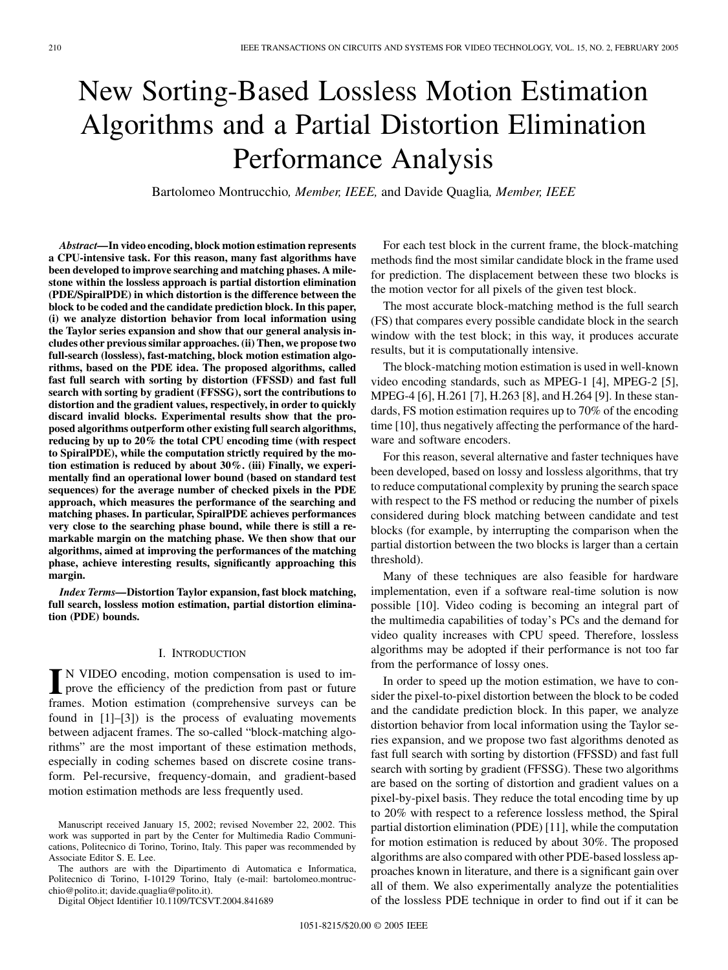# New Sorting-Based Lossless Motion Estimation Algorithms and a Partial Distortion Elimination Performance Analysis

Bartolomeo Montrucchio*, Member, IEEE,* and Davide Quaglia*, Member, IEEE*

*Abstract—***In video encoding, block motion estimation represents a CPU-intensive task. For this reason, many fast algorithms have been developed to improve searching and matching phases. A milestone within the lossless approach is partial distortion elimination (PDE/SpiralPDE) in which distortion is the difference between the block to be coded and the candidate prediction block. In this paper, (i) we analyze distortion behavior from local information using the Taylor series expansion and show that our general analysis includes other previous similar approaches. (ii) Then, we propose two full-search (lossless), fast-matching, block motion estimation algorithms, based on the PDE idea. The proposed algorithms, called fast full search with sorting by distortion (FFSSD) and fast full search with sorting by gradient (FFSSG), sort the contributions to distortion and the gradient values, respectively, in order to quickly discard invalid blocks. Experimental results show that the proposed algorithms outperform other existing full search algorithms, reducing by up to 20% the total CPU encoding time (with respect to SpiralPDE), while the computation strictly required by the motion estimation is reduced by about 30%. (iii) Finally, we experimentally find an operational lower bound (based on standard test sequences) for the average number of checked pixels in the PDE approach, which measures the performance of the searching and matching phases. In particular, SpiralPDE achieves performances very close to the searching phase bound, while there is still a remarkable margin on the matching phase. We then show that our algorithms, aimed at improving the performances of the matching phase, achieve interesting results, significantly approaching this margin.**

*Index Terms—***Distortion Taylor expansion, fast block matching, full search, lossless motion estimation, partial distortion elimination (PDE) bounds.**

# I. INTRODUCTION

**I** N VIDEO encoding, motion compensation is used to im-<br>prove the efficiency of the prediction from past or future frames. Motion estimation (comprehensive surveys can be found in [\[1](#page-9-0)]–[[3\]](#page-9-0)) is the process of evaluating movements between adjacent frames. The so-called "block-matching algorithms" are the most important of these estimation methods, especially in coding schemes based on discrete cosine transform. Pel-recursive, frequency-domain, and gradient-based motion estimation methods are less frequently used.

The authors are with the Dipartimento di Automatica e Informatica, Politecnico di Torino, I-10129 Torino, Italy (e-mail: bartolomeo.montrucchio@polito.it; davide.quaglia@polito.it).

Digital Object Identifier 10.1109/TCSVT.2004.841689

For each test block in the current frame, the block-matching methods find the most similar candidate block in the frame used for prediction. The displacement between these two blocks is the motion vector for all pixels of the given test block.

The most accurate block-matching method is the full search (FS) that compares every possible candidate block in the search window with the test block; in this way, it produces accurate results, but it is computationally intensive.

The block-matching motion estimation is used in well-known video encoding standards, such as MPEG-1 [\[4](#page-9-0)], MPEG-2 [[5\]](#page-9-0), MPEG-4 [[6\]](#page-9-0), H.261 [[7\]](#page-9-0), H.263 [\[8](#page-9-0)], and H.264 [[9\]](#page-9-0). In these standards, FS motion estimation requires up to 70% of the encoding time [[10\]](#page-9-0), thus negatively affecting the performance of the hardware and software encoders.

For this reason, several alternative and faster techniques have been developed, based on lossy and lossless algorithms, that try to reduce computational complexity by pruning the search space with respect to the FS method or reducing the number of pixels considered during block matching between candidate and test blocks (for example, by interrupting the comparison when the partial distortion between the two blocks is larger than a certain threshold).

Many of these techniques are also feasible for hardware implementation, even if a software real-time solution is now possible [[10\]](#page-9-0). Video coding is becoming an integral part of the multimedia capabilities of today's PCs and the demand for video quality increases with CPU speed. Therefore, lossless algorithms may be adopted if their performance is not too far from the performance of lossy ones.

In order to speed up the motion estimation, we have to consider the pixel-to-pixel distortion between the block to be coded and the candidate prediction block. In this paper, we analyze distortion behavior from local information using the Taylor series expansion, and we propose two fast algorithms denoted as fast full search with sorting by distortion (FFSSD) and fast full search with sorting by gradient (FFSSG). These two algorithms are based on the sorting of distortion and gradient values on a pixel-by-pixel basis. They reduce the total encoding time by up to 20% with respect to a reference lossless method, the Spiral partial distortion elimination (PDE) [\[11\]](#page-9-0), while the computation for motion estimation is reduced by about 30%. The proposed algorithms are also compared with other PDE-based lossless approaches known in literature, and there is a significant gain over all of them. We also experimentally analyze the potentialities of the lossless PDE technique in order to find out if it can be

Manuscript received January 15, 2002; revised November 22, 2002. This work was supported in part by the Center for Multimedia Radio Communications, Politecnico di Torino, Torino, Italy. This paper was recommended by Associate Editor S. E. Lee.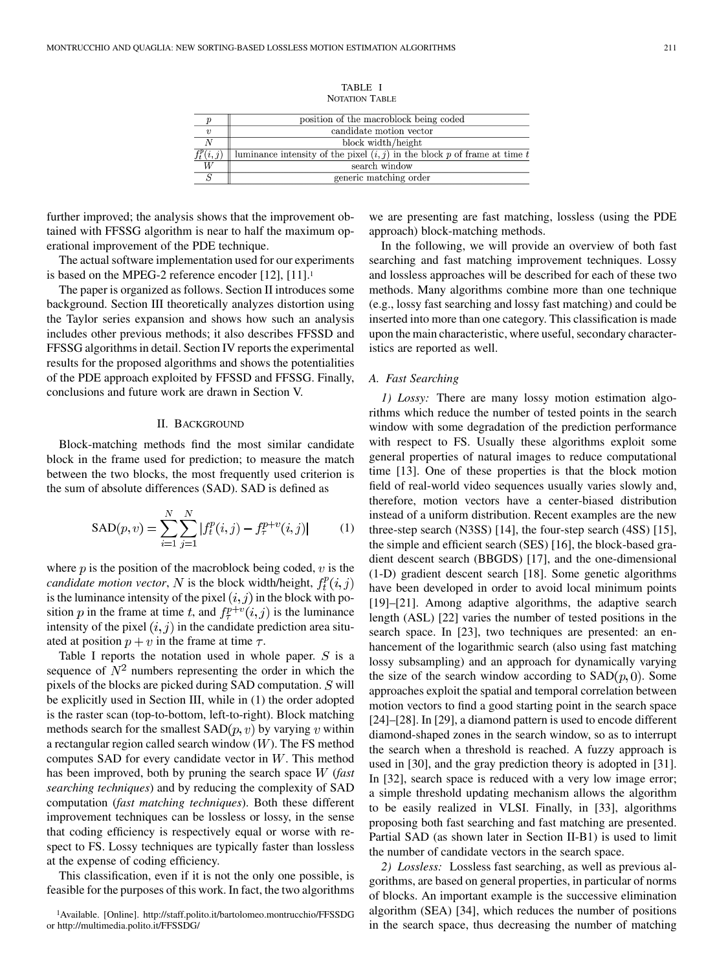TABLE I

| NOTATION TABLE |  |
|----------------|--|
|                |  |

|                  | position of the macroblock being coded                                      |
|------------------|-----------------------------------------------------------------------------|
| $\boldsymbol{v}$ | candidate motion vector                                                     |
|                  | block width/height                                                          |
| $f_t^p(i,j)$     | luminance intensity of the pixel $(i, j)$ in the block p of frame at time t |
| W                | search window                                                               |
|                  | generic matching order                                                      |

further improved; the analysis shows that the improvement obtained with FFSSG algorithm is near to half the maximum operational improvement of the PDE technique.

The actual software implementation used for our experiments is based on the MPEG-2 reference encoder [\[12](#page-9-0)], [\[11](#page-9-0)].<sup>1</sup>

The paper is organized as follows. Section II introduces some background. Section III theoretically analyzes distortion using the Taylor series expansion and shows how such an analysis includes other previous methods; it also describes FFSSD and FFSSG algorithms in detail. Section IV reports the experimental results for the proposed algorithms and shows the potentialities of the PDE approach exploited by FFSSD and FFSSG. Finally, conclusions and future work are drawn in Section V.

# II. BACKGROUND

Block-matching methods find the most similar candidate block in the frame used for prediction; to measure the match between the two blocks, the most frequently used criterion is the sum of absolute differences (SAD). SAD is defined as

$$
SAD(p, v) = \sum_{i=1}^{N} \sum_{j=1}^{N} |f_t^p(i, j) - f_\tau^{p+v}(i, j)|
$$
 (1)

where  $p$  is the position of the macroblock being coded,  $v$  is the *candidate motion vector*, N is the block width/height,  $f_t^p(i, j)$ is the luminance intensity of the pixel  $(i, j)$  in the block with position p in the frame at time t, and  $f^{p+v}_\tau(i,j)$  is the luminance intensity of the pixel  $(i, j)$  in the candidate prediction area situated at position  $p + v$  in the frame at time  $\tau$ .

Table I reports the notation used in whole paper.  $S$  is a sequence of  $N^2$  numbers representing the order in which the pixels of the blocks are picked during SAD computation.  $S$  will be explicitly used in Section III, while in (1) the order adopted is the raster scan (top-to-bottom, left-to-right). Block matching methods search for the smallest  $SAD(p, v)$  by varying v within a rectangular region called search window  $(W)$ . The FS method computes SAD for every candidate vector in  $W$ . This method has been improved, both by pruning the search space W (fast *searching techniques*) and by reducing the complexity of SAD computation (*fast matching techniques*). Both these different improvement techniques can be lossless or lossy, in the sense that coding efficiency is respectively equal or worse with respect to FS. Lossy techniques are typically faster than lossless at the expense of coding efficiency.

This classification, even if it is not the only one possible, is feasible for the purposes of this work. In fact, the two algorithms we are presenting are fast matching, lossless (using the PDE approach) block-matching methods.

In the following, we will provide an overview of both fast searching and fast matching improvement techniques. Lossy and lossless approaches will be described for each of these two methods. Many algorithms combine more than one technique (e.g., lossy fast searching and lossy fast matching) and could be inserted into more than one category. This classification is made upon the main characteristic, where useful, secondary characteristics are reported as well.

## *A. Fast Searching*

*1) Lossy:* There are many lossy motion estimation algorithms which reduce the number of tested points in the search window with some degradation of the prediction performance with respect to FS. Usually these algorithms exploit some general properties of natural images to reduce computational time [[13\]](#page-9-0). One of these properties is that the block motion field of real-world video sequences usually varies slowly and, therefore, motion vectors have a center-biased distribution instead of a uniform distribution. Recent examples are the new three-step search (N3SS) [\[14](#page-9-0)], the four-step search (4SS) [\[15](#page-9-0)], the simple and efficient search (SES) [\[16](#page-9-0)], the block-based gradient descent search (BBGDS) [\[17](#page-9-0)], and the one-dimensional (1-D) gradient descent search [\[18](#page-9-0)]. Some genetic algorithms have been developed in order to avoid local minimum points [\[19](#page-9-0)]–[\[21\]](#page-9-0). Among adaptive algorithms, the adaptive search length (ASL) [[22\]](#page-9-0) varies the number of tested positions in the search space. In [\[23](#page-9-0)], two techniques are presented: an enhancement of the logarithmic search (also using fast matching lossy subsampling) and an approach for dynamically varying the size of the search window according to  $SAD(p, 0)$ . Some approaches exploit the spatial and temporal correlation between motion vectors to find a good starting point in the search space [\[24](#page-9-0)]–[\[28](#page-10-0)]. In [[29\]](#page-10-0), a diamond pattern is used to encode different diamond-shaped zones in the search window, so as to interrupt the search when a threshold is reached. A fuzzy approach is used in [\[30](#page-10-0)], and the gray prediction theory is adopted in [\[31](#page-10-0)]. In [\[32](#page-10-0)], search space is reduced with a very low image error; a simple threshold updating mechanism allows the algorithm to be easily realized in VLSI. Finally, in [[33\]](#page-10-0), algorithms proposing both fast searching and fast matching are presented. Partial SAD (as shown later in Section II-B1) is used to limit the number of candidate vectors in the search space.

*2) Lossless:* Lossless fast searching, as well as previous algorithms, are based on general properties, in particular of norms of blocks. An important example is the successive elimination algorithm (SEA) [\[34](#page-10-0)], which reduces the number of positions in the search space, thus decreasing the number of matching

<sup>1</sup>Available. [Online]. http://staff.polito.it/bartolomeo.montrucchio/FFSSDG or http://multimedia.polito.it/FFSSDG/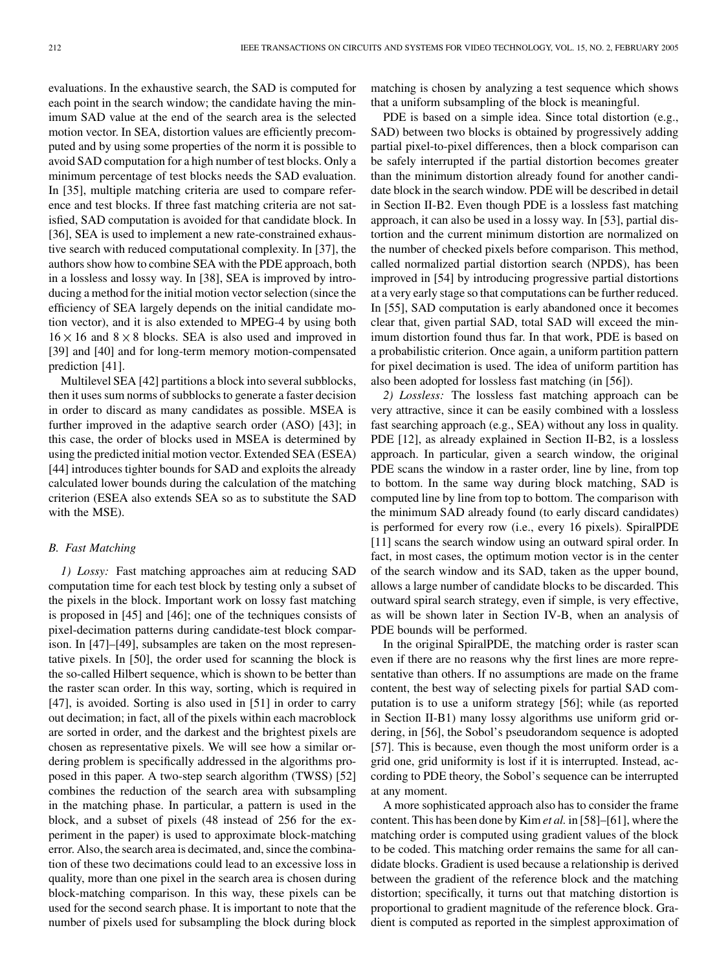evaluations. In the exhaustive search, the SAD is computed for each point in the search window; the candidate having the minimum SAD value at the end of the search area is the selected motion vector. In SEA, distortion values are efficiently precomputed and by using some properties of the norm it is possible to avoid SAD computation for a high number of test blocks. Only a minimum percentage of test blocks needs the SAD evaluation. In [[35\]](#page-10-0), multiple matching criteria are used to compare reference and test blocks. If three fast matching criteria are not satisfied, SAD computation is avoided for that candidate block. In [[36\]](#page-10-0), SEA is used to implement a new rate-constrained exhaustive search with reduced computational complexity. In [\[37](#page-10-0)], the authors show how to combine SEA with the PDE approach, both in a lossless and lossy way. In [[38\]](#page-10-0), SEA is improved by introducing a method for the initial motion vector selection (since the efficiency of SEA largely depends on the initial candidate motion vector), and it is also extended to MPEG-4 by using both  $16 \times 16$  and  $8 \times 8$  blocks. SEA is also used and improved in [[39\]](#page-10-0) and [\[40](#page-10-0)] and for long-term memory motion-compensated prediction [\[41](#page-10-0)].

Multilevel SEA [\[42](#page-10-0)] partitions a block into several subblocks, then it uses sum norms of subblocks to generate a faster decision in order to discard as many candidates as possible. MSEA is further improved in the adaptive search order (ASO) [\[43](#page-10-0)]; in this case, the order of blocks used in MSEA is determined by using the predicted initial motion vector. Extended SEA (ESEA) [[44\]](#page-10-0) introduces tighter bounds for SAD and exploits the already calculated lower bounds during the calculation of the matching criterion (ESEA also extends SEA so as to substitute the SAD with the MSE).

## *B. Fast Matching*

*1) Lossy:* Fast matching approaches aim at reducing SAD computation time for each test block by testing only a subset of the pixels in the block. Important work on lossy fast matching is proposed in [[45\]](#page-10-0) and [[46\]](#page-10-0); one of the techniques consists of pixel-decimation patterns during candidate-test block comparison. In [[47\]](#page-10-0)–[\[49](#page-10-0)], subsamples are taken on the most representative pixels. In [\[50](#page-10-0)], the order used for scanning the block is the so-called Hilbert sequence, which is shown to be better than the raster scan order. In this way, sorting, which is required in [[47\]](#page-10-0), is avoided. Sorting is also used in [\[51](#page-10-0)] in order to carry out decimation; in fact, all of the pixels within each macroblock are sorted in order, and the darkest and the brightest pixels are chosen as representative pixels. We will see how a similar ordering problem is specifically addressed in the algorithms proposed in this paper. A two-step search algorithm (TWSS) [\[52](#page-10-0)] combines the reduction of the search area with subsampling in the matching phase. In particular, a pattern is used in the block, and a subset of pixels (48 instead of 256 for the experiment in the paper) is used to approximate block-matching error. Also, the search area is decimated, and, since the combination of these two decimations could lead to an excessive loss in quality, more than one pixel in the search area is chosen during block-matching comparison. In this way, these pixels can be used for the second search phase. It is important to note that the number of pixels used for subsampling the block during block matching is chosen by analyzing a test sequence which shows that a uniform subsampling of the block is meaningful.

PDE is based on a simple idea. Since total distortion (e.g., SAD) between two blocks is obtained by progressively adding partial pixel-to-pixel differences, then a block comparison can be safely interrupted if the partial distortion becomes greater than the minimum distortion already found for another candidate block in the search window. PDE will be described in detail in Section II-B2. Even though PDE is a lossless fast matching approach, it can also be used in a lossy way. In [[53\]](#page-10-0), partial distortion and the current minimum distortion are normalized on the number of checked pixels before comparison. This method, called normalized partial distortion search (NPDS), has been improved in [\[54](#page-10-0)] by introducing progressive partial distortions at a very early stage so that computations can be further reduced. In [[55\]](#page-10-0), SAD computation is early abandoned once it becomes clear that, given partial SAD, total SAD will exceed the minimum distortion found thus far. In that work, PDE is based on a probabilistic criterion. Once again, a uniform partition pattern for pixel decimation is used. The idea of uniform partition has also been adopted for lossless fast matching (in [\[56](#page-10-0)]).

*2) Lossless:* The lossless fast matching approach can be very attractive, since it can be easily combined with a lossless fast searching approach (e.g., SEA) without any loss in quality. PDE [\[12](#page-9-0)], as already explained in Section II-B2, is a lossless approach. In particular, given a search window, the original PDE scans the window in a raster order, line by line, from top to bottom. In the same way during block matching, SAD is computed line by line from top to bottom. The comparison with the minimum SAD already found (to early discard candidates) is performed for every row (i.e., every 16 pixels). SpiralPDE [[11\]](#page-9-0) scans the search window using an outward spiral order. In fact, in most cases, the optimum motion vector is in the center of the search window and its SAD, taken as the upper bound, allows a large number of candidate blocks to be discarded. This outward spiral search strategy, even if simple, is very effective, as will be shown later in Section IV-B, when an analysis of PDE bounds will be performed.

In the original SpiralPDE, the matching order is raster scan even if there are no reasons why the first lines are more representative than others. If no assumptions are made on the frame content, the best way of selecting pixels for partial SAD computation is to use a uniform strategy [[56\]](#page-10-0); while (as reported in Section II-B1) many lossy algorithms use uniform grid ordering, in [[56\]](#page-10-0), the Sobol's pseudorandom sequence is adopted [[57\]](#page-10-0). This is because, even though the most uniform order is a grid one, grid uniformity is lost if it is interrupted. Instead, according to PDE theory, the Sobol's sequence can be interrupted at any moment.

A more sophisticated approach also has to consider the frame content. This has been done by Kim *et al.* in [\[58](#page-10-0)]–[\[61](#page-10-0)], where the matching order is computed using gradient values of the block to be coded. This matching order remains the same for all candidate blocks. Gradient is used because a relationship is derived between the gradient of the reference block and the matching distortion; specifically, it turns out that matching distortion is proportional to gradient magnitude of the reference block. Gradient is computed as reported in the simplest approximation of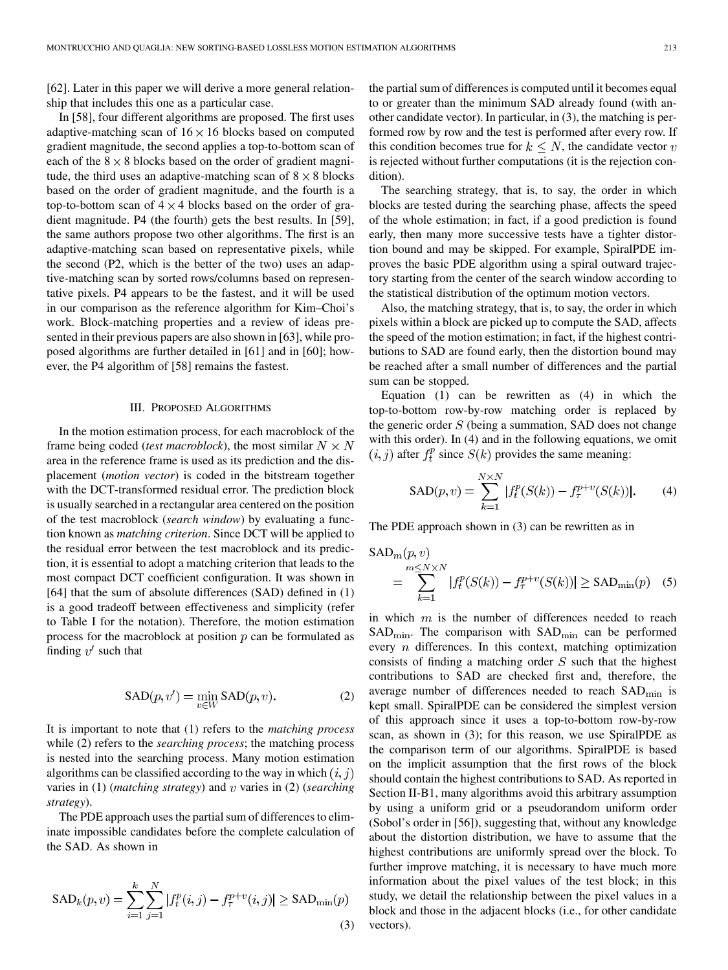[\[62](#page-10-0)]. Later in this paper we will derive a more general relationship that includes this one as a particular case.

In [\[58](#page-10-0)], four different algorithms are proposed. The first uses adaptive-matching scan of  $16 \times 16$  blocks based on computed gradient magnitude, the second applies a top-to-bottom scan of each of the  $8 \times 8$  blocks based on the order of gradient magnitude, the third uses an adaptive-matching scan of  $8 \times 8$  blocks based on the order of gradient magnitude, and the fourth is a top-to-bottom scan of  $4 \times 4$  blocks based on the order of gradient magnitude. P4 (the fourth) gets the best results. In [\[59](#page-10-0)], the same authors propose two other algorithms. The first is an adaptive-matching scan based on representative pixels, while the second (P2, which is the better of the two) uses an adaptive-matching scan by sorted rows/columns based on representative pixels. P4 appears to be the fastest, and it will be used in our comparison as the reference algorithm for Kim–Choi's work. Block-matching properties and a review of ideas presented in their previous papers are also shown in [\[63\]](#page-10-0), while proposed algorithms are further detailed in [[61\]](#page-10-0) and in [\[60](#page-10-0)]; however, the P4 algorithm of [\[58](#page-10-0)] remains the fastest.

## III. PROPOSED ALGORITHMS

In the motion estimation process, for each macroblock of the frame being coded *(test macroblock)*, the most similar  $N \times N$ area in the reference frame is used as its prediction and the displacement (*motion vector*) is coded in the bitstream together with the DCT-transformed residual error. The prediction block is usually searched in a rectangular area centered on the position of the test macroblock (*search window*) by evaluating a function known as *matching criterion*. Since DCT will be applied to the residual error between the test macroblock and its prediction, it is essential to adopt a matching criterion that leads to the most compact DCT coefficient configuration. It was shown in [\[64](#page-10-0)] that the sum of absolute differences (SAD) defined in (1) is a good tradeoff between effectiveness and simplicity (refer to Table I for the notation). Therefore, the motion estimation process for the macroblock at position  $p$  can be formulated as finding  $v'$  such that

$$
SAD(p, v') = \min_{v \in W} SAD(p, v).
$$
 (2)

It is important to note that (1) refers to the *matching process* while (2) refers to the *searching process*; the matching process is nested into the searching process. Many motion estimation algorithms can be classified according to the way in which  $(i, j)$ varies in (1) (*matching strategy*) and v varies in (2) (*searching strategy*).

The PDE approach uses the partial sum of differences to eliminate impossible candidates before the complete calculation of the SAD. As shown in

$$
SAD_k(p, v) = \sum_{i=1}^{k} \sum_{j=1}^{N} |f_t^p(i, j) - f_\tau^{p+v}(i, j)| \geq SAD_{\min}(p)
$$
\n(3)

the partial sum of differences is computed until it becomes equal to or greater than the minimum SAD already found (with another candidate vector). In particular, in (3), the matching is performed row by row and the test is performed after every row. If this condition becomes true for  $k \leq N$ , the candidate vector v is rejected without further computations (it is the rejection condition).

The searching strategy, that is, to say, the order in which blocks are tested during the searching phase, affects the speed of the whole estimation; in fact, if a good prediction is found early, then many more successive tests have a tighter distortion bound and may be skipped. For example, SpiralPDE improves the basic PDE algorithm using a spiral outward trajectory starting from the center of the search window according to the statistical distribution of the optimum motion vectors.

Also, the matching strategy, that is, to say, the order in which pixels within a block are picked up to compute the SAD, affects the speed of the motion estimation; in fact, if the highest contributions to SAD are found early, then the distortion bound may be reached after a small number of differences and the partial sum can be stopped.

Equation (1) can be rewritten as (4) in which the top-to-bottom row-by-row matching order is replaced by the generic order  $S$  (being a summation, SAD does not change with this order). In (4) and in the following equations, we omit  $(i, j)$  after  $f_t^p$  since  $S(k)$  provides the same meaning:

$$
SAD(p, v) = \sum_{k=1}^{N \times N} |f_t^p(S(k)) - f_\tau^{p+v}(S(k))|.
$$
 (4)

The PDE approach shown in (3) can be rewritten as in

$$
SAD_m(p, v)
$$
  
= 
$$
\sum_{k=1}^{m \le N \times N} |f_t^p(S(k)) - f_\tau^{p+v}(S(k))| \ge SAD_{\min}(p)
$$
 (5)

in which  $m$  is the number of differences needed to reach  $SAD<sub>min</sub>$ . The comparison with  $SAD<sub>min</sub>$  can be performed every  $n$  differences. In this context, matching optimization consists of finding a matching order  $S$  such that the highest contributions to SAD are checked first and, therefore, the average number of differences needed to reach  $SAD_{\text{min}}$  is kept small. SpiralPDE can be considered the simplest version of this approach since it uses a top-to-bottom row-by-row scan, as shown in (3); for this reason, we use SpiralPDE as the comparison term of our algorithms. SpiralPDE is based on the implicit assumption that the first rows of the block should contain the highest contributions to SAD. As reported in Section II-B1, many algorithms avoid this arbitrary assumption by using a uniform grid or a pseudorandom uniform order (Sobol's order in [[56\]](#page-10-0)), suggesting that, without any knowledge about the distortion distribution, we have to assume that the highest contributions are uniformly spread over the block. To further improve matching, it is necessary to have much more information about the pixel values of the test block; in this study, we detail the relationship between the pixel values in a block and those in the adjacent blocks (i.e., for other candidate vectors).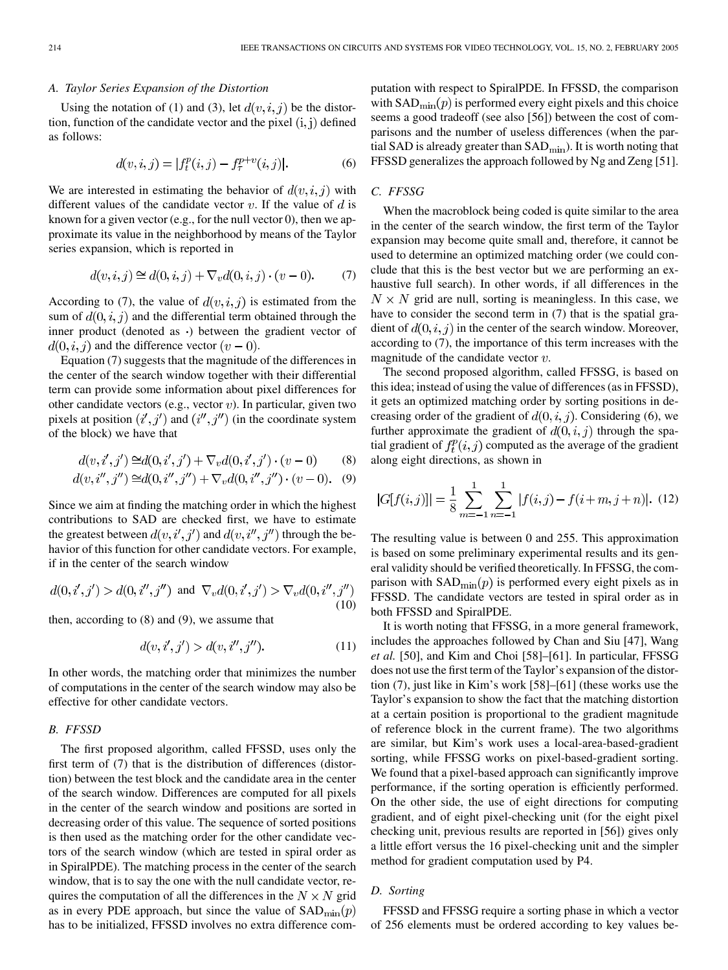# *A. Taylor Series Expansion of the Distortion*

Using the notation of (1) and (3), let  $d(v, i, j)$  be the distortion, function of the candidate vector and the pixel  $(i, j)$  defined as follows:

$$
d(v, i, j) = |f_t^p(i, j) - f_\tau^{p+v}(i, j)|.
$$
 (6)

We are interested in estimating the behavior of  $d(v, i, j)$  with different values of the candidate vector  $v$ . If the value of  $d$  is known for a given vector (e.g., for the null vector 0), then we approximate its value in the neighborhood by means of the Taylor series expansion, which is reported in

$$
d(v, i, j) \cong d(0, i, j) + \nabla_v d(0, i, j) \cdot (v - 0). \tag{7}
$$

According to (7), the value of  $d(v, i, j)$  is estimated from the sum of  $d(0, i, j)$  and the differential term obtained through the inner product (denoted as  $\cdot$ ) between the gradient vector of  $d(0, i, j)$  and the difference vector  $(v - 0)$ .

Equation (7) suggests that the magnitude of the differences in the center of the search window together with their differential term can provide some information about pixel differences for other candidate vectors (e.g., vector  $v$ ). In particular, given two pixels at position  $(i', j')$  and  $(i'', j'')$  (in the coordinate system of the block) we have that

$$
d(v, i', j') \cong d(0, i', j') + \nabla_v d(0, i', j') \cdot (v - 0)
$$
 (8)

$$
d(v, i'', j'') \cong d(0, i'', j'') + \nabla_v d(0, i'', j'') \cdot (v - 0). \tag{9}
$$

Since we aim at finding the matching order in which the highest contributions to SAD are checked first, we have to estimate the greatest between  $d(v, i', j')$  and  $d(v, i'', j'')$  through the behavior of this function for other candidate vectors. For example, if in the center of the search window

$$
d(0, i', j') > d(0, i'', j'')
$$
 and  $\nabla_v d(0, i', j') > \nabla_v d(0, i'', j'')$  (10)

then, according to (8) and (9), we assume that

$$
d(v, i', j') > d(v, i'', j'').
$$
\n(11)

In other words, the matching order that minimizes the number of computations in the center of the search window may also be effective for other candidate vectors.

# *B. FFSSD*

The first proposed algorithm, called FFSSD, uses only the first term of (7) that is the distribution of differences (distortion) between the test block and the candidate area in the center of the search window. Differences are computed for all pixels in the center of the search window and positions are sorted in decreasing order of this value. The sequence of sorted positions is then used as the matching order for the other candidate vectors of the search window (which are tested in spiral order as in SpiralPDE). The matching process in the center of the search window, that is to say the one with the null candidate vector, requires the computation of all the differences in the  $N \times N$  grid as in every PDE approach, but since the value of  $SAD_{\text{min}}(p)$ has to be initialized, FFSSD involves no extra difference com-

putation with respect to SpiralPDE. In FFSSD, the comparison with  $SAD_{\text{min}}(p)$  is performed every eight pixels and this choice seems a good tradeoff (see also [[56\]](#page-10-0)) between the cost of comparisons and the number of useless differences (when the partial SAD is already greater than  $SAD<sub>min</sub>$ ). It is worth noting that FFSSD generalizes the approach followed by Ng and Zeng [[51\]](#page-10-0).

# *C. FFSSG*

When the macroblock being coded is quite similar to the area in the center of the search window, the first term of the Taylor expansion may become quite small and, therefore, it cannot be used to determine an optimized matching order (we could conclude that this is the best vector but we are performing an exhaustive full search). In other words, if all differences in the  $N \times N$  grid are null, sorting is meaningless. In this case, we have to consider the second term in (7) that is the spatial gradient of  $d(0, i, j)$  in the center of the search window. Moreover, according to (7), the importance of this term increases with the magnitude of the candidate vector  $v$ .

The second proposed algorithm, called FFSSG, is based on this idea; instead of using the value of differences (as in FFSSD), it gets an optimized matching order by sorting positions in decreasing order of the gradient of  $d(0, i, j)$ . Considering (6), we further approximate the gradient of  $d(0, i, j)$  through the spatial gradient of  $f_t^p(i, j)$  computed as the average of the gradient along eight directions, as shown in

$$
|G[f(i,j)]| = \frac{1}{8} \sum_{m=-1}^{1} \sum_{n=-1}^{1} |f(i,j) - f(i+m, j+n)|. (12)
$$

The resulting value is between 0 and 255. This approximation is based on some preliminary experimental results and its general validity should be verified theoretically. In FFSSG, the comparison with  $SAD_{min}(p)$  is performed every eight pixels as in FFSSD. The candidate vectors are tested in spiral order as in both FFSSD and SpiralPDE.

It is worth noting that FFSSG, in a more general framework, includes the approaches followed by Chan and Siu [\[47](#page-10-0)], Wang *et al.* [\[50](#page-10-0)], and Kim and Choi [\[58](#page-10-0)]–[[61\]](#page-10-0). In particular, FFSSG does not use the first term of the Taylor's expansion of the distortion (7), just like in Kim's work [\[58](#page-10-0)]–[[61\]](#page-10-0) (these works use the Taylor's expansion to show the fact that the matching distortion at a certain position is proportional to the gradient magnitude of reference block in the current frame). The two algorithms are similar, but Kim's work uses a local-area-based-gradient sorting, while FFSSG works on pixel-based-gradient sorting. We found that a pixel-based approach can significantly improve performance, if the sorting operation is efficiently performed. On the other side, the use of eight directions for computing gradient, and of eight pixel-checking unit (for the eight pixel checking unit, previous results are reported in [\[56\]](#page-10-0)) gives only a little effort versus the 16 pixel-checking unit and the simpler method for gradient computation used by P4.

# *D. Sorting*

FFSSD and FFSSG require a sorting phase in which a vector of 256 elements must be ordered according to key values be-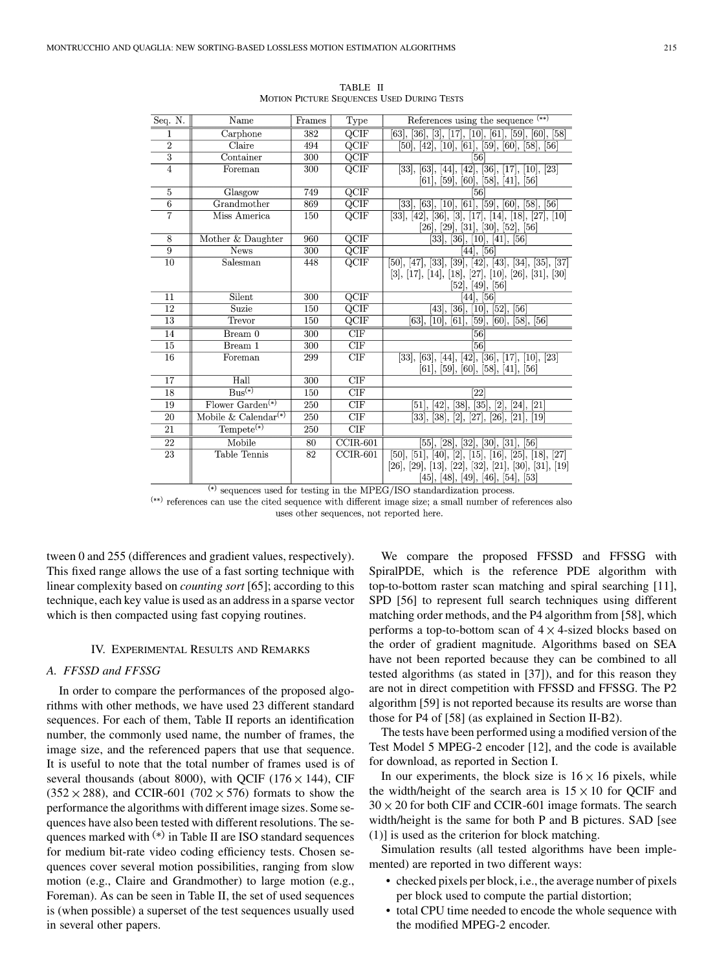| Seq. N.         | Name                                  | Frames           | Type                     | References using the sequence (**)                                                                                                                                                             |
|-----------------|---------------------------------------|------------------|--------------------------|------------------------------------------------------------------------------------------------------------------------------------------------------------------------------------------------|
| 1               | Carphone                              | 382              | $\overline{QCIF}$        | $[63], [36], [3], [17], [10], [61], [59], [60], [58]$                                                                                                                                          |
| $\overline{2}$  | Claire                                | 494              | $\overline{QCIF}$        | $[50], [42], [10], [61], [59], [60], [58], [56]$                                                                                                                                               |
| $\overline{3}$  | Container                             | 300              | $\overline{QCIF}$        | $\overline{56}$                                                                                                                                                                                |
| $\overline{4}$  | Foreman                               | 300              | $\overline{QCIF}$        | [63], [44], [42], [36], [17], [10], [23]<br>$[33]$ ,<br>[61], [59], [60], [58], [41], [56]                                                                                                     |
| $\overline{5}$  | Glasgow                               | 749              | $\overline{QCIF}$        | [56]                                                                                                                                                                                           |
| $6\overline{6}$ | Grandmother                           | 869              | $\overline{QCIF}$        | $[33]$ , $[63]$ , $[10]$ , $[61]$ , $[59]$ , $[60]$ , $[58]$ , $[56]$                                                                                                                          |
| 7               | Miss America                          | 150              | $\overline{QCIF}$        | $[33], [42], [36], [3], [17], [14], [18], [27], [10]$<br>$[26]$ , $[29]$ , $[31]$ , $[30]$ , $[52]$ , $[56]$                                                                                   |
| 8               | Mother & Daughter                     | 960              | $\overline{QCIF}$        | $\overline{33}$ , $\overline{36}$ , $\overline{10}$ , $\overline{41}$ , $\overline{56}$                                                                                                        |
| $\overline{9}$  | <b>News</b>                           | 300              | $\overline{QCIF}$        | $[44]$ , $[56]$                                                                                                                                                                                |
| $\overline{10}$ | Salesman                              | 448              | QCIF                     | $[50], [47], [33], [39], [42], [43], [34], [35], [37]$<br>$[3], [17], [14], [18], [27], [10], [26], [31], [30]$<br>[52], [49], [56]                                                            |
| 11              | Silent                                | $\overline{300}$ | $\overline{QCIF}$        | $[44]$ , $[56]$                                                                                                                                                                                |
| $\overline{12}$ | Suzie                                 | 150              | $\overline{QCIF}$        | [10], [52], [56]<br>$\overline{4}3,$<br>$[36]$ ,                                                                                                                                               |
| $\overline{13}$ | Trevor                                | 150              | $\overline{\text{QCIF}}$ | [59], [60], [58], [56]<br>$[63]$ ,<br>[10], [61],                                                                                                                                              |
| 14              | Bream 0                               | 300              | $\overline{\text{CIF}}$  | $\overline{56}$                                                                                                                                                                                |
| 15              | Bream 1                               | $\overline{300}$ | CIF                      | $\overline{56}$                                                                                                                                                                                |
| 16              | Foreman                               | 299              | CIF                      | $[33], [63], [44], [42], [36], [17], [10], [23]$<br>[61], [59], [60], [58], [41], [56]                                                                                                         |
| 17              | Hall                                  | 300              | CIF                      |                                                                                                                                                                                                |
| 18              | $Bus^{(*)}$                           | 150              | $\overline{\text{CIF}}$  | [22]                                                                                                                                                                                           |
| 19              | $Flower Garden(*)$                    | 250              | CIF                      | [42], [38], [35], [2],<br>[24], [21]<br>$[51]$ ,                                                                                                                                               |
| 20              | Mobile & Calendar <sup>(*)</sup>      | 250              | CIF                      | [33], [38], [2], [27], [26],<br>$[21]$ , $[19]$                                                                                                                                                |
| 21              | $T$ empete <sup>(*)</sup>             | 250              | CIF                      |                                                                                                                                                                                                |
| $\overline{22}$ | Mobile                                | $\overline{80}$  | $\overline{CCIR-601}$    | [55], [28], [32], [30], [31], [56]                                                                                                                                                             |
| 23              | <b>Table Tennis</b><br>$\overline{ }$ | 82               | $CCIR-601$               | $[50], [51], [40], [2], [15], [16], [25], [18], [27]$<br>$[26]$ , $[29]$ , $[13]$ , $[22]$ , $[32]$ , $[21]$ , $[30]$ , $[31]$ , $[19]$<br>$[45]$ , $[48]$ , $[49]$ , $[46]$ , $[54]$ , $[53]$ |

TABLE II MOTION PICTURE SEQUENCES USED DURING TESTS

 $(*)$  sequences used for testing in the MPEG/ISO standardization process.  $^{(**)}$  references can use the cited sequence with different image size; a small number of references also uses other sequences, not reported here.

tween 0 and 255 (differences and gradient values, respectively). This fixed range allows the use of a fast sorting technique with linear complexity based on *counting sort* [\[65](#page-10-0)]; according to this technique, each key value is used as an address in a sparse vector which is then compacted using fast copying routines.

## IV. EXPERIMENTAL RESULTS AND REMARKS

## *A. FFSSD and FFSSG*

In order to compare the performances of the proposed algorithms with other methods, we have used 23 different standard sequences. For each of them, Table II reports an identification number, the commonly used name, the number of frames, the image size, and the referenced papers that use that sequence. It is useful to note that the total number of frames used is of several thousands (about 8000), with QCIF (176  $\times$  144), CIF  $(352 \times 288)$ , and CCIR-601 (702  $\times$  576) formats to show the performance the algorithms with different image sizes. Some sequences have also been tested with different resolutions. The sequences marked with  $(*)$  in Table II are ISO standard sequences for medium bit-rate video coding efficiency tests. Chosen sequences cover several motion possibilities, ranging from slow motion (e.g., Claire and Grandmother) to large motion (e.g., Foreman). As can be seen in Table II, the set of used sequences is (when possible) a superset of the test sequences usually used in several other papers.

We compare the proposed FFSSD and FFSSG with SpiralPDE, which is the reference PDE algorithm with top-to-bottom raster scan matching and spiral searching [\[11](#page-9-0)], SPD [\[56\]](#page-10-0) to represent full search techniques using different matching order methods, and the P4 algorithm from [\[58](#page-10-0)], which performs a top-to-bottom scan of  $4 \times 4$ -sized blocks based on the order of gradient magnitude. Algorithms based on SEA have not been reported because they can be combined to all tested algorithms (as stated in [\[37](#page-10-0)]), and for this reason they are not in direct competition with FFSSD and FFSSG. The P2 algorithm [\[59](#page-10-0)] is not reported because its results are worse than those for P4 of [\[58](#page-10-0)] (as explained in Section II-B2).

The tests have been performed using a modified version of the Test Model 5 MPEG-2 encoder [\[12](#page-9-0)], and the code is available for download, as reported in Section I.

In our experiments, the block size is  $16 \times 16$  pixels, while the width/height of the search area is  $15 \times 10$  for QCIF and  $30 \times 20$  for both CIF and CCIR-601 image formats. The search width/height is the same for both P and B pictures. SAD [see (1)] is used as the criterion for block matching.

Simulation results (all tested algorithms have been implemented) are reported in two different ways:

- checked pixels per block, i.e., the average number of pixels per block used to compute the partial distortion;
- total CPU time needed to encode the whole sequence with the modified MPEG-2 encoder.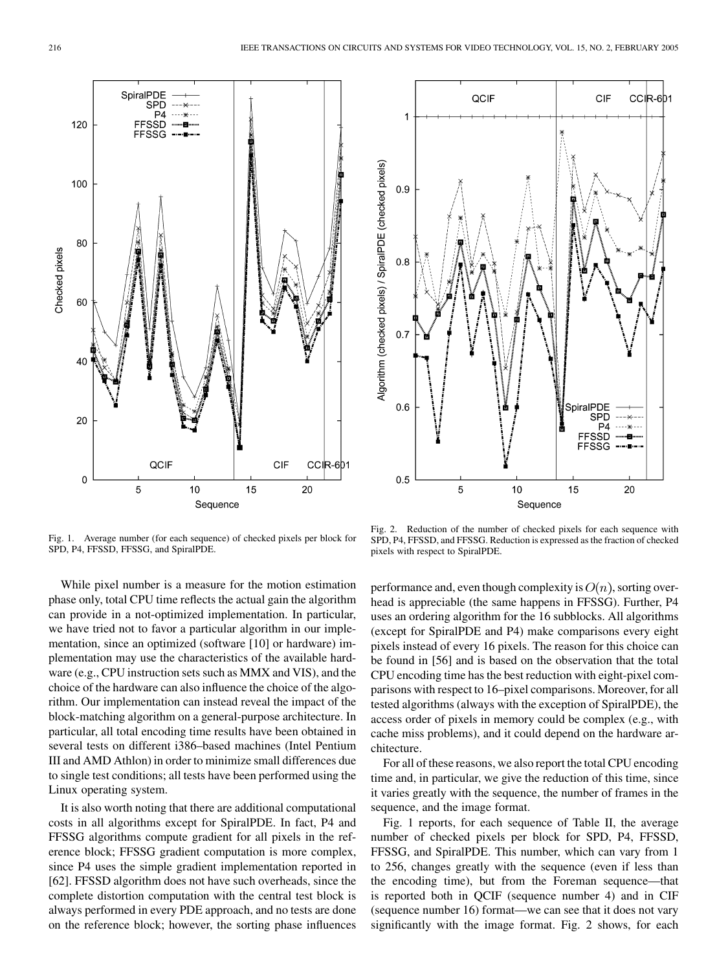

Fig. 1. Average number (for each sequence) of checked pixels per block for SPD, P4, FFSSD, FFSSG, and SpiralPDE.

While pixel number is a measure for the motion estimation phase only, total CPU time reflects the actual gain the algorithm can provide in a not-optimized implementation. In particular, we have tried not to favor a particular algorithm in our implementation, since an optimized (software [[10\]](#page-9-0) or hardware) implementation may use the characteristics of the available hardware (e.g., CPU instruction sets such as MMX and VIS), and the choice of the hardware can also influence the choice of the algorithm. Our implementation can instead reveal the impact of the block-matching algorithm on a general-purpose architecture. In particular, all total encoding time results have been obtained in several tests on different i386–based machines (Intel Pentium III and AMD Athlon) in order to minimize small differences due to single test conditions; all tests have been performed using the Linux operating system.

It is also worth noting that there are additional computational costs in all algorithms except for SpiralPDE. In fact, P4 and FFSSG algorithms compute gradient for all pixels in the reference block; FFSSG gradient computation is more complex, since P4 uses the simple gradient implementation reported in [[62\]](#page-10-0). FFSSD algorithm does not have such overheads, since the complete distortion computation with the central test block is always performed in every PDE approach, and no tests are done on the reference block; however, the sorting phase influences



Fig. 2. Reduction of the number of checked pixels for each sequence with SPD, P4, FFSSD, and FFSSG. Reduction is expressed as the fraction of checked pixels with respect to SpiralPDE.

performance and, even though complexity is  $O(n)$ , sorting overhead is appreciable (the same happens in FFSSG). Further, P4 uses an ordering algorithm for the 16 subblocks. All algorithms (except for SpiralPDE and P4) make comparisons every eight pixels instead of every 16 pixels. The reason for this choice can be found in [[56\]](#page-10-0) and is based on the observation that the total CPU encoding time has the best reduction with eight-pixel comparisons with respect to 16–pixel comparisons. Moreover, for all tested algorithms (always with the exception of SpiralPDE), the access order of pixels in memory could be complex (e.g., with cache miss problems), and it could depend on the hardware architecture.

For all of these reasons, we also report the total CPU encoding time and, in particular, we give the reduction of this time, since it varies greatly with the sequence, the number of frames in the sequence, and the image format.

Fig. 1 reports, for each sequence of Table II, the average number of checked pixels per block for SPD, P4, FFSSD, FFSSG, and SpiralPDE. This number, which can vary from 1 to 256, changes greatly with the sequence (even if less than the encoding time), but from the Foreman sequence—that is reported both in QCIF (sequence number 4) and in CIF (sequence number 16) format—we can see that it does not vary significantly with the image format. Fig. 2 shows, for each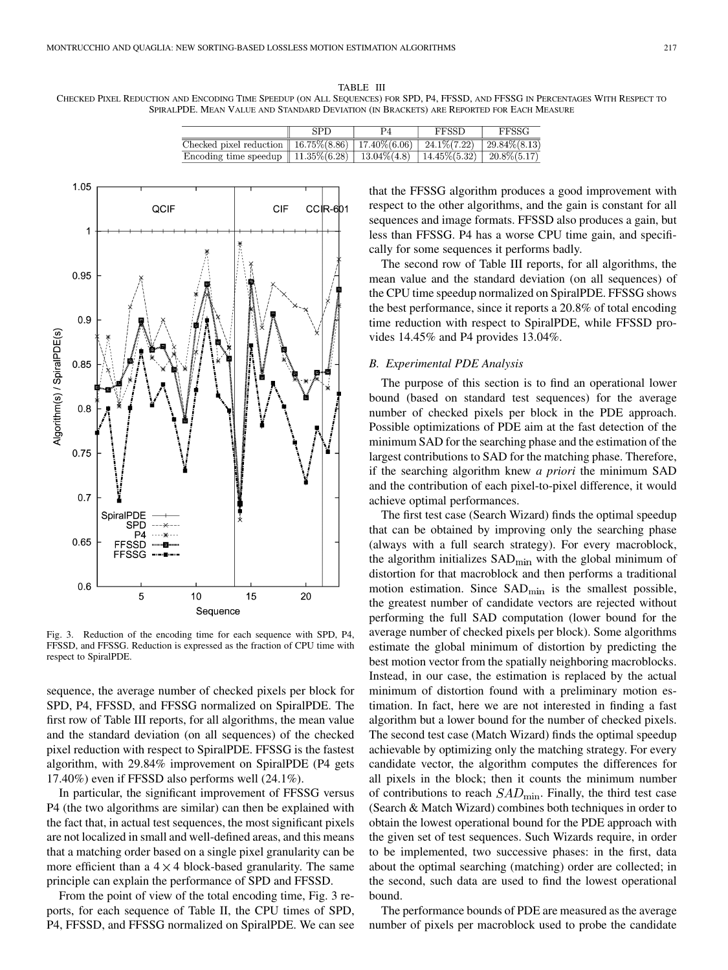TABLE III CHECKED PIXEL REDUCTION AND ENCODING TIME SPEEDUP (ON ALL SEQUENCES) FOR SPD, P4, FFSSD, AND FFSSG IN PERCENTAGES WITH RESPECT TO SPIRALPDE. MEAN VALUE AND STANDARD DEVIATION (IN BRACKETS) ARE REPORTED FOR EACH MEASURE

|                                                                                     | SPD | <b>FFSSD</b> | FFSSG           |
|-------------------------------------------------------------------------------------|-----|--------------|-----------------|
| Checked pixel reduction    16.75%(8.86)   17.40%(6.06)   24.1%(7.22)   29.84%(8.13) |     |              |                 |
| Encoding time speedup    $11.35\%(6.28)$   $13.04\%(4.8)$   $14.45\%(5.32)$         |     |              | $20.8\% (5.17)$ |



Fig. 3. Reduction of the encoding time for each sequence with SPD, P4, FFSSD, and FFSSG. Reduction is expressed as the fraction of CPU time with respect to SpiralPDE.

sequence, the average number of checked pixels per block for SPD, P4, FFSSD, and FFSSG normalized on SpiralPDE. The first row of Table III reports, for all algorithms, the mean value and the standard deviation (on all sequences) of the checked pixel reduction with respect to SpiralPDE. FFSSG is the fastest algorithm, with 29.84% improvement on SpiralPDE (P4 gets 17.40%) even if FFSSD also performs well (24.1%).

In particular, the significant improvement of FFSSG versus P4 (the two algorithms are similar) can then be explained with the fact that, in actual test sequences, the most significant pixels are not localized in small and well-defined areas, and this means that a matching order based on a single pixel granularity can be more efficient than a  $4 \times 4$  block-based granularity. The same principle can explain the performance of SPD and FFSSD.

From the point of view of the total encoding time, Fig. 3 reports, for each sequence of Table II, the CPU times of SPD, P4, FFSSD, and FFSSG normalized on SpiralPDE. We can see that the FFSSG algorithm produces a good improvement with respect to the other algorithms, and the gain is constant for all sequences and image formats. FFSSD also produces a gain, but less than FFSSG. P4 has a worse CPU time gain, and specifically for some sequences it performs badly.

The second row of Table III reports, for all algorithms, the mean value and the standard deviation (on all sequences) of the CPU time speedup normalized on SpiralPDE. FFSSG shows the best performance, since it reports a 20.8% of total encoding time reduction with respect to SpiralPDE, while FFSSD provides 14.45% and P4 provides 13.04%.

# *B. Experimental PDE Analysis*

The purpose of this section is to find an operational lower bound (based on standard test sequences) for the average number of checked pixels per block in the PDE approach. Possible optimizations of PDE aim at the fast detection of the minimum SAD for the searching phase and the estimation of the largest contributions to SAD for the matching phase. Therefore, if the searching algorithm knew *a priori* the minimum SAD and the contribution of each pixel-to-pixel difference, it would achieve optimal performances.

The first test case (Search Wizard) finds the optimal speedup that can be obtained by improving only the searching phase (always with a full search strategy). For every macroblock, the algorithm initializes  $SAD<sub>min</sub>$  with the global minimum of distortion for that macroblock and then performs a traditional motion estimation. Since  $SAD_{min}$  is the smallest possible, the greatest number of candidate vectors are rejected without performing the full SAD computation (lower bound for the average number of checked pixels per block). Some algorithms estimate the global minimum of distortion by predicting the best motion vector from the spatially neighboring macroblocks. Instead, in our case, the estimation is replaced by the actual minimum of distortion found with a preliminary motion estimation. In fact, here we are not interested in finding a fast algorithm but a lower bound for the number of checked pixels. The second test case (Match Wizard) finds the optimal speedup achievable by optimizing only the matching strategy. For every candidate vector, the algorithm computes the differences for all pixels in the block; then it counts the minimum number of contributions to reach  $SAD_{\text{min}}$ . Finally, the third test case (Search & Match Wizard) combines both techniques in order to obtain the lowest operational bound for the PDE approach with the given set of test sequences. Such Wizards require, in order to be implemented, two successive phases: in the first, data about the optimal searching (matching) order are collected; in the second, such data are used to find the lowest operational bound.

The performance bounds of PDE are measured as the average number of pixels per macroblock used to probe the candidate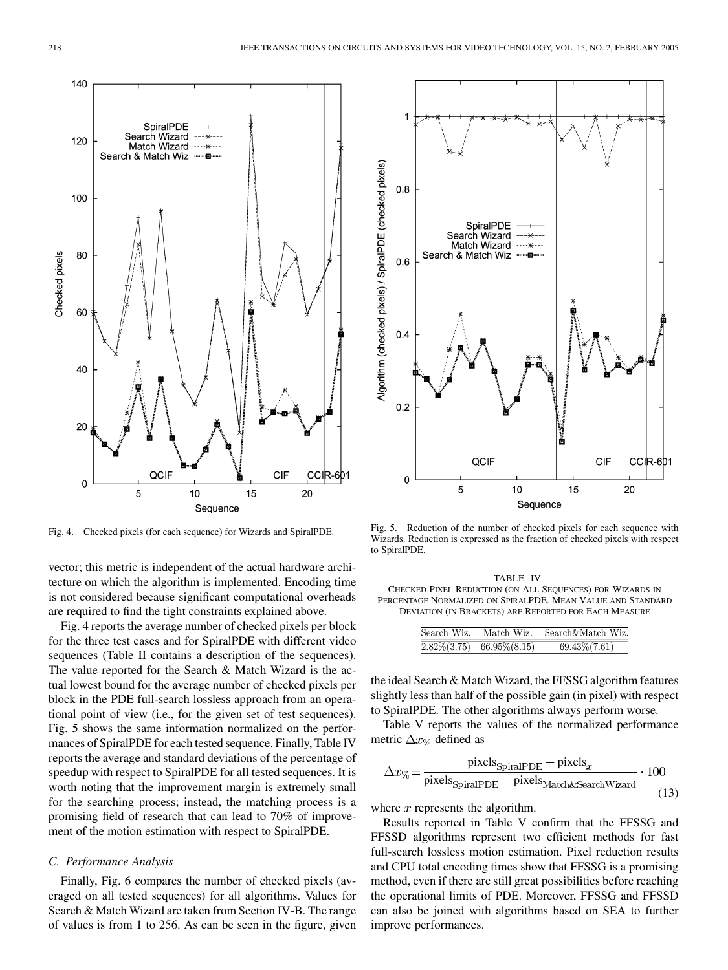

Fig. 4. Checked pixels (for each sequence) for Wizards and SpiralPDE.

vector; this metric is independent of the actual hardware architecture on which the algorithm is implemented. Encoding time is not considered because significant computational overheads are required to find the tight constraints explained above.

Fig. 4 reports the average number of checked pixels per block for the three test cases and for SpiralPDE with different video sequences (Table II contains a description of the sequences). The value reported for the Search & Match Wizard is the actual lowest bound for the average number of checked pixels per block in the PDE full-search lossless approach from an operational point of view (i.e., for the given set of test sequences). Fig. 5 shows the same information normalized on the performances of SpiralPDE for each tested sequence. Finally, Table IV reports the average and standard deviations of the percentage of speedup with respect to SpiralPDE for all tested sequences. It is worth noting that the improvement margin is extremely small for the searching process; instead, the matching process is a promising field of research that can lead to 70% of improvement of the motion estimation with respect to SpiralPDE.

# *C. Performance Analysis*

Finally, Fig. 6 compares the number of checked pixels (averaged on all tested sequences) for all algorithms. Values for Search & Match Wizard are taken from Section IV-B. The range of values is from 1 to 256. As can be seen in the figure, given



Fig. 5. Reduction of the number of checked pixels for each sequence with Wizards. Reduction is expressed as the fraction of checked pixels with respect to SpiralPDE.

TABLE IV CHECKED PIXEL REDUCTION (ON ALL SEQUENCES) FOR WIZARDS IN PERCENTAGE NORMALIZED ON SPIRALPDE. MEAN VALUE AND STANDARD DEVIATION (IN BRACKETS) ARE REPORTED FOR EACH MEASURE

|                                                 | Search Wiz.   Match Wiz.   Search&Match Wiz. |
|-------------------------------------------------|----------------------------------------------|
| $\left. 2.82\% (3.75) \right.   66.95\% (8.15)$ | $69.43\%(7.61)$                              |

the ideal Search & Match Wizard, the FFSSG algorithm features slightly less than half of the possible gain (in pixel) with respect to SpiralPDE. The other algorithms always perform worse.

Table V reports the values of the normalized performance metric  $\Delta x_{\%}$  defined as

$$
\Delta x_{\%} = \frac{\text{pixels}_{\text{SpiralPDE}} - \text{pixels}_{x}}{\text{pixels}_{\text{SpiralPDE}} - \text{pixels}_{\text{Match&}\text{SearchWizard}} \cdot 100
$$
\n(13)

where  $x$  represents the algorithm.

Results reported in Table V confirm that the FFSSG and FFSSD algorithms represent two efficient methods for fast full-search lossless motion estimation. Pixel reduction results and CPU total encoding times show that FFSSG is a promising method, even if there are still great possibilities before reaching the operational limits of PDE. Moreover, FFSSG and FFSSD can also be joined with algorithms based on SEA to further improve performances.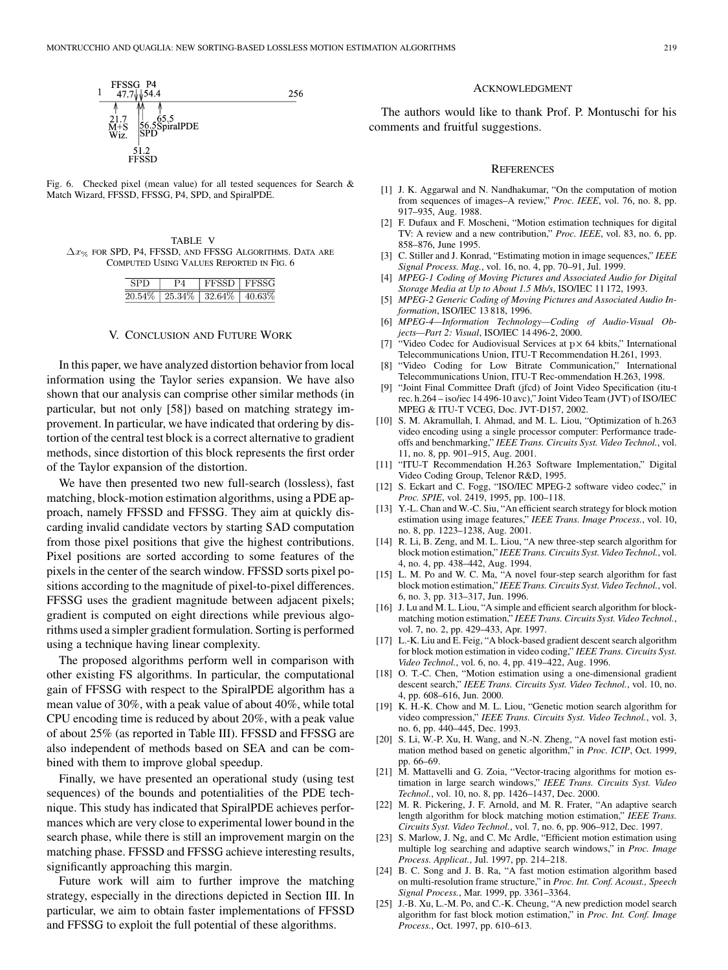<span id="page-9-0"></span>

Fig. 6. Checked pixel (mean value) for all tested sequences for Search  $\&$ Match Wizard, FFSSD, FFSSG, P4, SPD, and SpiralPDE.

| TABLE V                                                                |  |  |  |  |  |
|------------------------------------------------------------------------|--|--|--|--|--|
| $\Delta x_{\infty}$ for SPD, P4, FFSSD, and FFSSG ALGORITHMS, DATA ARE |  |  |  |  |  |
| COMPUTED USING VALUES REPORTED IN FIG. 6                               |  |  |  |  |  |

|  | l FFSSD l FFSSG                         |  |
|--|-----------------------------------------|--|
|  | $20.54\%$   25.34\%   32.64\%   40.63\% |  |

## V. CONCLUSION AND FUTURE WORK

In this paper, we have analyzed distortion behavior from local information using the Taylor series expansion. We have also shown that our analysis can comprise other similar methods (in particular, but not only [\[58](#page-10-0)]) based on matching strategy improvement. In particular, we have indicated that ordering by distortion of the central test block is a correct alternative to gradient methods, since distortion of this block represents the first order of the Taylor expansion of the distortion.

We have then presented two new full-search (lossless), fast matching, block-motion estimation algorithms, using a PDE approach, namely FFSSD and FFSSG. They aim at quickly discarding invalid candidate vectors by starting SAD computation from those pixel positions that give the highest contributions. Pixel positions are sorted according to some features of the pixels in the center of the search window. FFSSD sorts pixel positions according to the magnitude of pixel-to-pixel differences. FFSSG uses the gradient magnitude between adjacent pixels; gradient is computed on eight directions while previous algorithms used a simpler gradient formulation. Sorting is performed using a technique having linear complexity.

The proposed algorithms perform well in comparison with other existing FS algorithms. In particular, the computational gain of FFSSG with respect to the SpiralPDE algorithm has a mean value of 30%, with a peak value of about 40%, while total CPU encoding time is reduced by about 20%, with a peak value of about 25% (as reported in Table III). FFSSD and FFSSG are also independent of methods based on SEA and can be combined with them to improve global speedup.

Finally, we have presented an operational study (using test sequences) of the bounds and potentialities of the PDE technique. This study has indicated that SpiralPDE achieves performances which are very close to experimental lower bound in the search phase, while there is still an improvement margin on the matching phase. FFSSD and FFSSG achieve interesting results, significantly approaching this margin.

Future work will aim to further improve the matching strategy, especially in the directions depicted in Section III. In particular, we aim to obtain faster implementations of FFSSD and FFSSG to exploit the full potential of these algorithms.

#### ACKNOWLEDGMENT

The authors would like to thank Prof. P. Montuschi for his comments and fruitful suggestions.

#### **REFERENCES**

- [1] J. K. Aggarwal and N. Nandhakumar, "On the computation of motion from sequences of images–A review," *Proc. IEEE*, vol. 76, no. 8, pp. 917–935, Aug. 1988.
- [2] F. Dufaux and F. Moscheni, "Motion estimation techniques for digital TV: A review and a new contribution," *Proc. IEEE*, vol. 83, no. 6, pp. 858–876, June 1995.
- [3] C. Stiller and J. Konrad, "Estimating motion in image sequences," *IEEE Signal Process. Mag.*, vol. 16, no. 4, pp. 70–91, Jul. 1999.
- [4] *MPEG-1 Coding of Moving Pictures and Associated Audio for Digital Storage Media at Up to About 1.5 Mb/s*, ISO/IEC 11 172, 1993.
- [5] *MPEG-2 Generic Coding of Moving Pictures and Associated Audio Information*, ISO/IEC 13 818, 1996.
- [6] *MPEG-4—Information Technology—Coding of Audio-Visual Objects—Part 2: Visual*, ISO/IEC 14 496-2, 2000.
- [7] "Video Codec for Audiovisual Services at  $p \times 64$  kbits," International Telecommunications Union, ITU-T Recommendation H.261, 1993.
- [8] "Video Coding for Low Bitrate Communication," International Telecommunications Union, ITU-T Rec-ommendation H.263, 1998.
- [9] "Joint Final Committee Draft (jfcd) of Joint Video Specification (itu-t rec. h.264 – iso/iec 14 496-10 avc)," Joint Video Team (JVT) of ISO/IEC MPEG & ITU-T VCEG, Doc. JVT-D157, 2002.
- [10] S. M. Akramullah, I. Ahmad, and M. L. Liou, "Optimization of h.263 video encoding using a single processor computer: Performance tradeoffs and benchmarking," *IEEE Trans. Circuits Syst. Video Technol.*, vol. 11, no. 8, pp. 901–915, Aug. 2001.
- [11] "ITU-T Recommendation H.263 Software Implementation," Digital Video Coding Group, Telenor R&D, 1995.
- [12] S. Eckart and C. Fogg, "ISO/IEC MPEG-2 software video codec," in *Proc. SPIE*, vol. 2419, 1995, pp. 100–118.
- [13] Y.-L. Chan and W.-C. Siu, "An efficient search strategy for block motion estimation using image features," *IEEE Trans. Image Process.*, vol. 10, no. 8, pp. 1223–1238, Aug. 2001.
- [14] R. Li, B. Zeng, and M. L. Liou, "A new three-step search algorithm for block motion estimation," *IEEE Trans. Circuits Syst. Video Technol.*, vol. 4, no. 4, pp. 438–442, Aug. 1994.
- [15] L. M. Po and W. C. Ma, "A novel four-step search algorithm for fast block motion estimation," *IEEE Trans. Circuits Syst. Video Technol.*, vol. 6, no. 3, pp. 313–317, Jun. 1996.
- [16] J. Lu and M. L. Liou, "A simple and efficient search algorithm for blockmatching motion estimation," *IEEE Trans. Circuits Syst. Video Technol.*, vol. 7, no. 2, pp. 429–433, Apr. 1997.
- [17] L.-K. Liu and E. Feig, "A block-based gradient descent search algorithm for block motion estimation in video coding," *IEEE Trans. Circuits Syst. Video Technol.*, vol. 6, no. 4, pp. 419–422, Aug. 1996.
- [18] O. T.-C. Chen, "Motion estimation using a one-dimensional gradient descent search," *IEEE Trans. Circuits Syst. Video Technol.*, vol. 10, no. 4, pp. 608–616, Jun. 2000.
- [19] K. H.-K. Chow and M. L. Liou, "Genetic motion search algorithm for video compression," *IEEE Trans. Circuits Syst. Video Technol.*, vol. 3, no. 6, pp. 440–445, Dec. 1993.
- [20] S. Li, W.-P. Xu, H. Wang, and N.-N. Zheng, "A novel fast motion estimation method based on genetic algorithm," in *Proc. ICIP*, Oct. 1999, pp. 66–69.
- [21] M. Mattavelli and G. Zoia, "Vector-tracing algorithms for motion estimation in large search windows," *IEEE Trans. Circuits Syst. Video Technol.*, vol. 10, no. 8, pp. 1426–1437, Dec. 2000.
- [22] M. R. Pickering, J. F. Arnold, and M. R. Frater, "An adaptive search length algorithm for block matching motion estimation," *IEEE Trans. Circuits Syst. Video Technol.*, vol. 7, no. 6, pp. 906–912, Dec. 1997.
- [23] S. Marlow, J. Ng, and C. Mc Ardle, "Efficient motion estimation using multiple log searching and adaptive search windows," in *Proc. Image Process. Applicat.*, Jul. 1997, pp. 214–218.
- [24] B. C. Song and J. B. Ra, "A fast motion estimation algorithm based on multi-resolution frame structure," in *Proc. Int. Conf. Acoust., Speech Signal Process.*, Mar. 1999, pp. 3361–3364.
- [25] J.-B. Xu, L.-M. Po, and C.-K. Cheung, "A new prediction model search algorithm for fast block motion estimation," in *Proc. Int. Conf. Image Process.*, Oct. 1997, pp. 610–613.